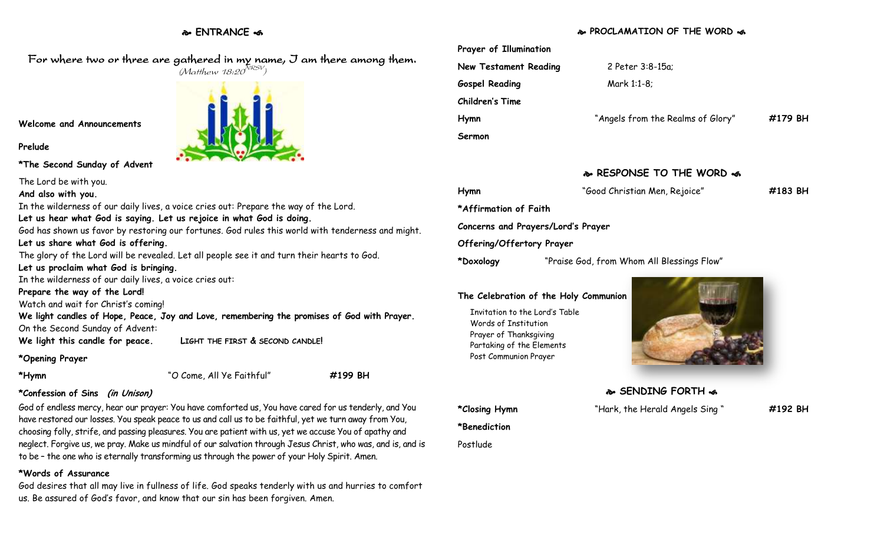# **ENTRANCE**

# **PROCLAMATION OF THE WORD**



Invitation to the Lord's Table Words of Institution Prayer of Thanksgiving Partaking of the Elements Post Communion Prayer

**\*Benediction**

Postlude



**SENDING FORTH of** 

**\*Closing Hymn** "Hark, the Herald Angels Sing " **#192 BH**

For where two or three are gathered in my name, I am there among them.  $(M$ atthew 18:20 $^{NRSV})$ 

**Welcome and Announcements**

**Prelude**

**\*The Second Sunday of Advent**

The Lord be with you.

**And also with you.**

In the wilderness of our daily lives, a voice cries out: Prepare the way of the Lord.

**Let us hear what God is saying. Let us rejoice in what God is doing.**

God has shown us favor by restoring our fortunes. God rules this world with tenderness and might.

# **Let us share what God is offering.**

The glory of the Lord will be revealed. Let all people see it and turn their hearts to God.

**Let us proclaim what God is bringing.**

In the wilderness of our daily lives, a voice cries out:

## **Prepare the way of the Lord!**

Watch and wait for Christ's coming!

**We light candles of Hope, Peace, Joy and Love, remembering the promises of God with Prayer.** On the Second Sunday of Advent:

**We light this candle for peace. LIGHT THE FIRST & SECOND CANDLE!**

**\*Opening Prayer**

| *Hymr |  |
|-------|--|
|       |  |

**\*Hymn** "O Come, All Ye Faithful" **#199 BH**

# **\*Confession of Sins (in Unison)**

God of endless mercy, hear our prayer: You have comforted us, You have cared for us tenderly, and You have restored our losses. You speak peace to us and call us to be faithful, yet we turn away from You, choosing folly, strife, and passing pleasures. You are patient with us, yet we accuse You of apathy and neglect. Forgive us, we pray. Make us mindful of our salvation through Jesus Christ, who was, and is, and is to be – the one who is eternally transforming us through the power of your Holy Spirit. Amen.

# **\*Words of Assurance**

God desires that all may live in fullness of life. God speaks tenderly with us and hurries to comfort us. Be assured of God's favor, and know that our sin has been forgiven. Amen.